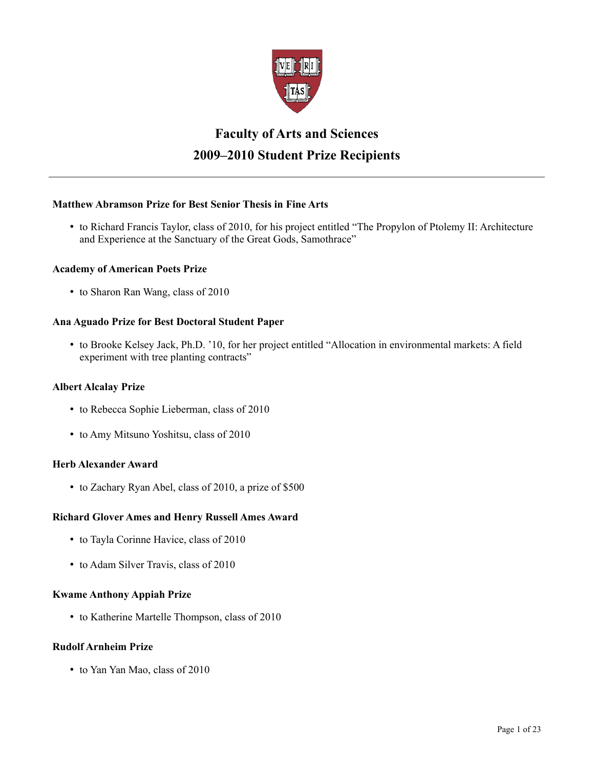

# **Faculty of Arts and Sciences 2009–2010 Student Prize Recipients**

# **Matthew Abramson Prize for Best Senior Thesis in Fine Arts**

• to Richard Francis Taylor, class of 2010, for his project entitled "The Propylon of Ptolemy II: Architecture and Experience at the Sanctuary of the Great Gods, Samothrace"

# **Academy of American Poets Prize**

• to Sharon Ran Wang, class of 2010

# **Ana Aguado Prize for Best Doctoral Student Paper**

• to Brooke Kelsey Jack, Ph.D. '10, for her project entitled "Allocation in environmental markets: A field experiment with tree planting contracts"

# **Albert Alcalay Prize**

- to Rebecca Sophie Lieberman, class of 2010
- to Amy Mitsuno Yoshitsu, class of 2010

# **Herb Alexander Award**

• to Zachary Ryan Abel, class of 2010, a prize of \$500

# **Richard Glover Ames and Henry Russell Ames Award**

- to Tayla Corinne Havice, class of 2010
- to Adam Silver Travis, class of 2010

# **Kwame Anthony Appiah Prize**

• to Katherine Martelle Thompson, class of 2010

# **Rudolf Arnheim Prize**

• to Yan Yan Mao, class of 2010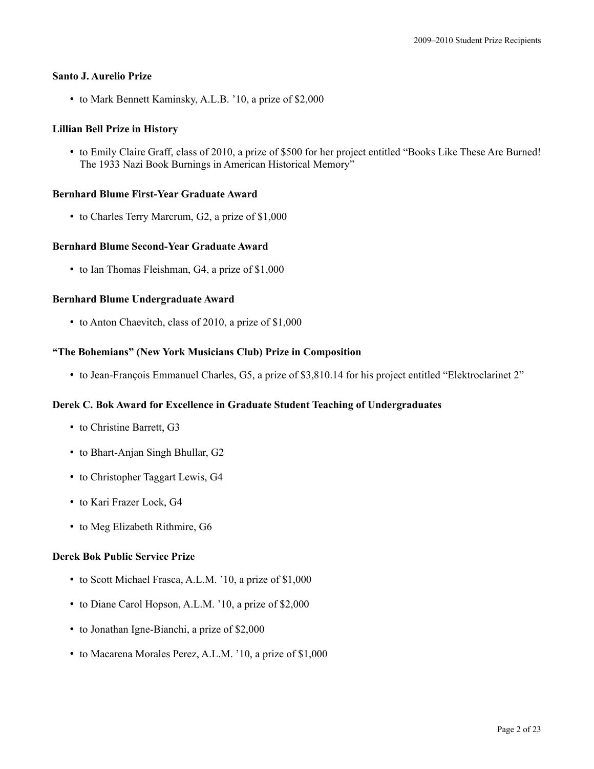## **Santo J. Aurelio Prize**

• to Mark Bennett Kaminsky, A.L.B. '10, a prize of \$2,000

# **Lillian Bell Prize in History**

• to Emily Claire Graff, class of 2010, a prize of \$500 for her project entitled "Books Like These Are Burned! The 1933 Nazi Book Burnings in American Historical Memory"

## **Bernhard Blume First-Year Graduate Award**

• to Charles Terry Marcrum, G2, a prize of \$1,000

## **Bernhard Blume Second-Year Graduate Award**

• to Ian Thomas Fleishman, G4, a prize of \$1,000

## **Bernhard Blume Undergraduate Award**

• to Anton Chaevitch, class of 2010, a prize of \$1,000

# **"The Bohemians" (New York Musicians Club) Prize in Composition**

• to Jean-François Emmanuel Charles, G5, a prize of \$3,810.14 for his project entitled "Elektroclarinet 2"

# **Derek C. Bok Award for Excellence in Graduate Student Teaching of Undergraduates**

- to Christine Barrett, G3
- to Bhart-Anjan Singh Bhullar, G2
- to Christopher Taggart Lewis, G4
- to Kari Frazer Lock, G4
- to Meg Elizabeth Rithmire, G6

#### **Derek Bok Public Service Prize**

- to Scott Michael Frasca, A.L.M. '10, a prize of \$1,000
- to Diane Carol Hopson, A.L.M. '10, a prize of \$2,000
- to Jonathan Igne-Bianchi, a prize of \$2,000
- to Macarena Morales Perez, A.L.M. '10, a prize of \$1,000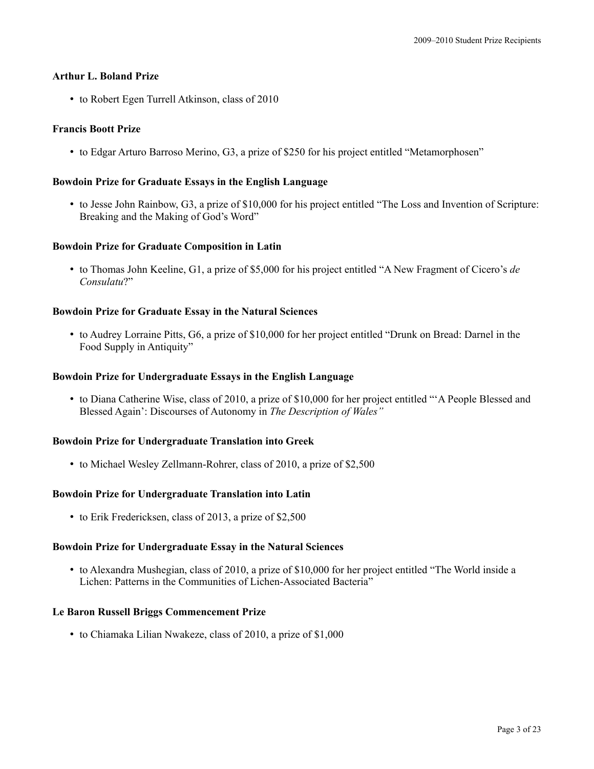# **Arthur L. Boland Prize**

• to Robert Egen Turrell Atkinson, class of 2010

# **Francis Boott Prize**

• to Edgar Arturo Barroso Merino, G3, a prize of \$250 for his project entitled "Metamorphosen"

# **Bowdoin Prize for Graduate Essays in the English Language**

• to Jesse John Rainbow, G3, a prize of \$10,000 for his project entitled "The Loss and Invention of Scripture: Breaking and the Making of God's Word"

## **Bowdoin Prize for Graduate Composition in Latin**

• to Thomas John Keeline, G1, a prize of \$5,000 for his project entitled "A New Fragment of Cicero's *de Consulatu*?"

## **Bowdoin Prize for Graduate Essay in the Natural Sciences**

• to Audrey Lorraine Pitts, G6, a prize of \$10,000 for her project entitled "Drunk on Bread: Darnel in the Food Supply in Antiquity"

## **Bowdoin Prize for Undergraduate Essays in the English Language**

• to Diana Catherine Wise, class of 2010, a prize of \$10,000 for her project entitled "'A People Blessed and Blessed Again': Discourses of Autonomy in *The Description of Wales"*

#### **Bowdoin Prize for Undergraduate Translation into Greek**

• to Michael Wesley Zellmann-Rohrer, class of 2010, a prize of \$2,500

#### **Bowdoin Prize for Undergraduate Translation into Latin**

• to Erik Fredericksen, class of 2013, a prize of \$2,500

#### **Bowdoin Prize for Undergraduate Essay in the Natural Sciences**

• to Alexandra Mushegian, class of 2010, a prize of \$10,000 for her project entitled "The World inside a Lichen: Patterns in the Communities of Lichen-Associated Bacteria"

#### **Le Baron Russell Briggs Commencement Prize**

• to Chiamaka Lilian Nwakeze, class of 2010, a prize of \$1,000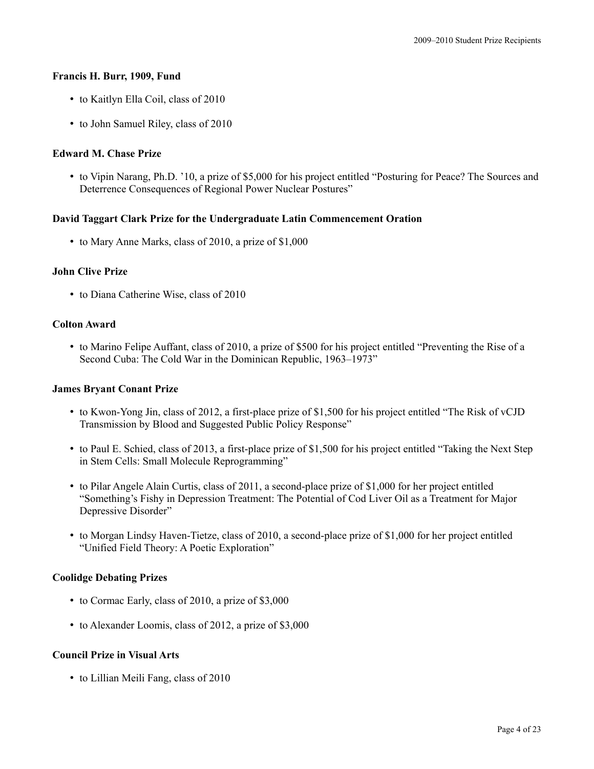## **Francis H. Burr, 1909, Fund**

- to Kaitlyn Ella Coil, class of 2010
- to John Samuel Riley, class of 2010

# **Edward M. Chase Prize**

• to Vipin Narang, Ph.D. '10, a prize of \$5,000 for his project entitled "Posturing for Peace? The Sources and Deterrence Consequences of Regional Power Nuclear Postures"

# **David Taggart Clark Prize for the Undergraduate Latin Commencement Oration**

• to Mary Anne Marks, class of 2010, a prize of \$1,000

# **John Clive Prize**

• to Diana Catherine Wise, class of 2010

## **Colton Award**

• to Marino Felipe Auffant, class of 2010, a prize of \$500 for his project entitled "Preventing the Rise of a Second Cuba: The Cold War in the Dominican Republic, 1963–1973"

# **James Bryant Conant Prize**

- to Kwon-Yong Jin, class of 2012, a first-place prize of \$1,500 for his project entitled "The Risk of vCJD Transmission by Blood and Suggested Public Policy Response"
- to Paul E. Schied, class of 2013, a first-place prize of \$1,500 for his project entitled "Taking the Next Step in Stem Cells: Small Molecule Reprogramming"
- to Pilar Angele Alain Curtis, class of 2011, a second-place prize of \$1,000 for her project entitled "Something's Fishy in Depression Treatment: The Potential of Cod Liver Oil as a Treatment for Major Depressive Disorder"
- to Morgan Lindsy Haven-Tietze, class of 2010, a second-place prize of \$1,000 for her project entitled "Unified Field Theory: A Poetic Exploration"

# **Coolidge Debating Prizes**

- to Cormac Early, class of 2010, a prize of \$3,000
- to Alexander Loomis, class of 2012, a prize of \$3,000

# **Council Prize in Visual Arts**

• to Lillian Meili Fang, class of 2010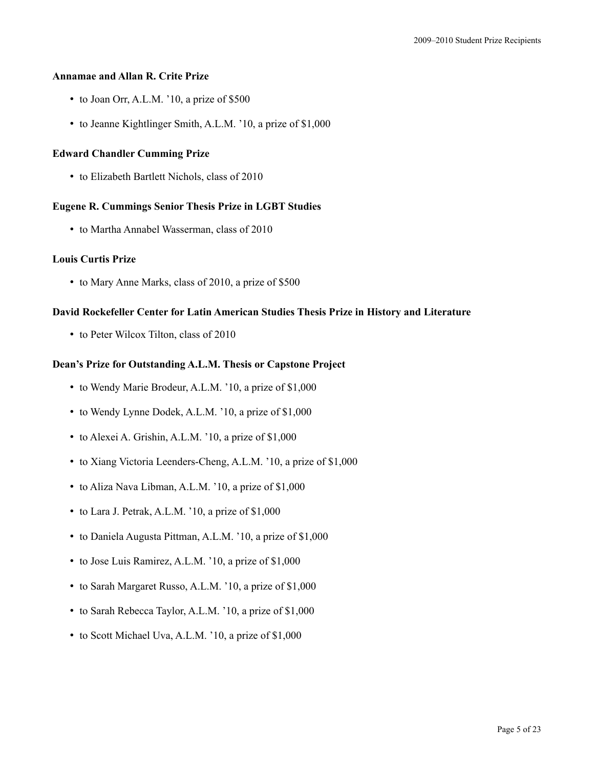# **Annamae and Allan R. Crite Prize**

- to Joan Orr, A.L.M. '10, a prize of \$500
- to Jeanne Kightlinger Smith, A.L.M. '10, a prize of \$1,000

## **Edward Chandler Cumming Prize**

• to Elizabeth Bartlett Nichols, class of 2010

## **Eugene R. Cummings Senior Thesis Prize in LGBT Studies**

• to Martha Annabel Wasserman, class of 2010

## **Louis Curtis Prize**

• to Mary Anne Marks, class of 2010, a prize of \$500

## **David Rockefeller Center for Latin American Studies Thesis Prize in History and Literature**

• to Peter Wilcox Tilton, class of 2010

# **Dean's Prize for Outstanding A.L.M. Thesis or Capstone Project**

- to Wendy Marie Brodeur, A.L.M. '10, a prize of \$1,000
- to Wendy Lynne Dodek, A.L.M. '10, a prize of \$1,000
- to Alexei A. Grishin, A.L.M. '10, a prize of \$1,000
- to Xiang Victoria Leenders-Cheng, A.L.M. '10, a prize of \$1,000
- to Aliza Nava Libman, A.L.M. '10, a prize of \$1,000
- to Lara J. Petrak, A.L.M. '10, a prize of \$1,000
- to Daniela Augusta Pittman, A.L.M. '10, a prize of \$1,000
- to Jose Luis Ramirez, A.L.M. '10, a prize of \$1,000
- to Sarah Margaret Russo, A.L.M. '10, a prize of \$1,000
- to Sarah Rebecca Taylor, A.L.M. '10, a prize of \$1,000
- to Scott Michael Uva, A.L.M. '10, a prize of \$1,000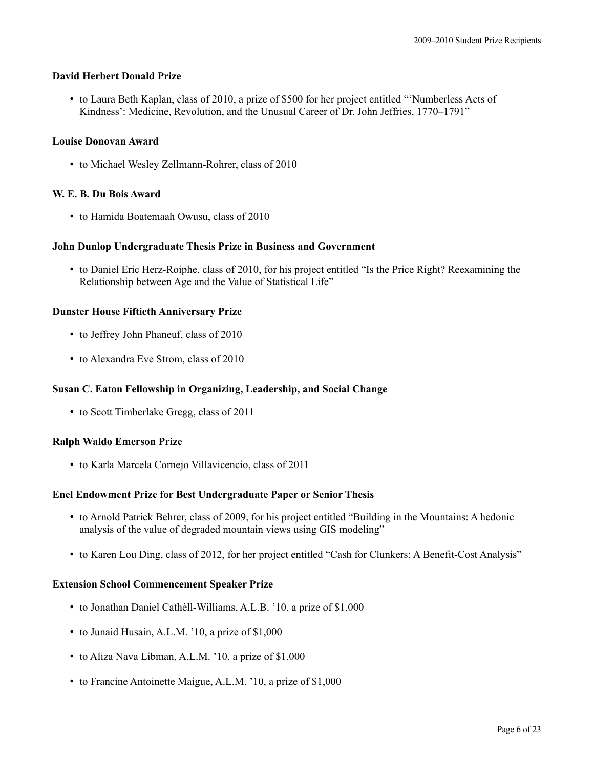## **David Herbert Donald Prize**

• to Laura Beth Kaplan, class of 2010, a prize of \$500 for her project entitled "'Numberless Acts of Kindness': Medicine, Revolution, and the Unusual Career of Dr. John Jeffries, 1770–1791"

## **Louise Donovan Award**

• to Michael Wesley Zellmann-Rohrer, class of 2010

## **W. E. B. Du Bois Award**

• to Hamida Boatemaah Owusu, class of 2010

## **John Dunlop Undergraduate Thesis Prize in Business and Government**

• to Daniel Eric Herz-Roiphe, class of 2010, for his project entitled "Is the Price Right? Reexamining the Relationship between Age and the Value of Statistical Life"

## **Dunster House Fiftieth Anniversary Prize**

- to Jeffrey John Phaneuf, class of 2010
- to Alexandra Eve Strom, class of 2010

# **Susan C. Eaton Fellowship in Organizing, Leadership, and Social Change**

• to Scott Timberlake Gregg, class of 2011

#### **Ralph Waldo Emerson Prize**

• to Karla Marcela Cornejo Villavicencio, class of 2011

# **Enel Endowment Prize for Best Undergraduate Paper or Senior Thesis**

- to Arnold Patrick Behrer, class of 2009, for his project entitled "Building in the Mountains: A hedonic analysis of the value of degraded mountain views using GIS modeling"
- to Karen Lou Ding, class of 2012, for her project entitled "Cash for Clunkers: A Benefit-Cost Analysis"

#### **Extension School Commencement Speaker Prize**

- to Jonathan Daniel Cathèll-Williams, A.L.B. '10, a prize of \$1,000
- to Junaid Husain, A.L.M. '10, a prize of \$1,000
- to Aliza Nava Libman, A.L.M. '10, a prize of \$1,000
- to Francine Antoinette Maigue, A.L.M. '10, a prize of \$1,000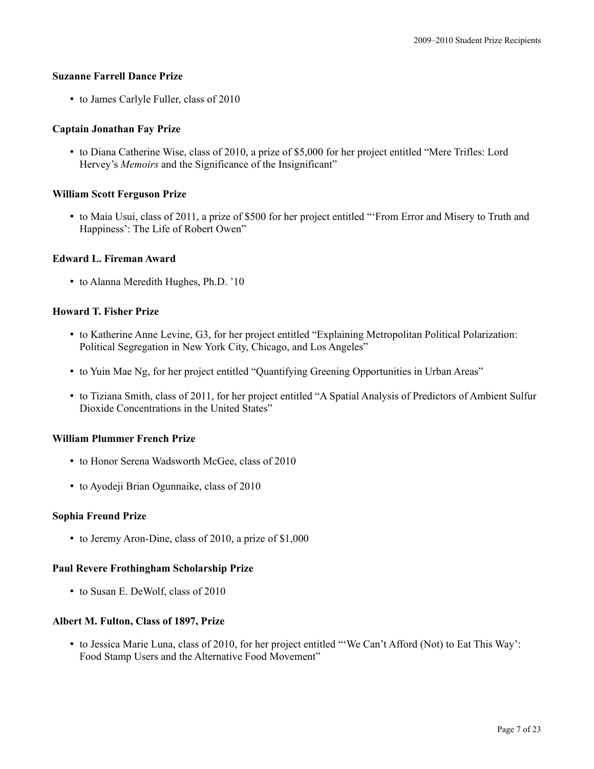## **Suzanne Farrell Dance Prize**

• to James Carlyle Fuller, class of 2010

## **Captain Jonathan Fay Prize**

• to Diana Catherine Wise, class of 2010, a prize of \$5,000 for her project entitled "Mere Trifles: Lord Hervey's *Memoirs* and the Significance of the Insignificant"

#### **William Scott Ferguson Prize**

• to Maia Usui, class of 2011, a prize of \$500 for her project entitled "'From Error and Misery to Truth and Happiness': The Life of Robert Owen"

## **Edward L. Fireman Award**

• to Alanna Meredith Hughes, Ph.D. '10

# **Howard T. Fisher Prize**

- to Katherine Anne Levine, G3, for her project entitled "Explaining Metropolitan Political Polarization: Political Segregation in New York City, Chicago, and Los Angeles"
- to Yuin Mae Ng, for her project entitled "Quantifying Greening Opportunities in Urban Areas"
- to Tiziana Smith, class of 2011, for her project entitled "A Spatial Analysis of Predictors of Ambient Sulfur Dioxide Concentrations in the United States"

#### **William Plummer French Prize**

- to Honor Serena Wadsworth McGee, class of 2010
- to Ayodeji Brian Ogunnaike, class of 2010

#### **Sophia Freund Prize**

• to Jeremy Aron-Dine, class of 2010, a prize of \$1,000

#### **Paul Revere Frothingham Scholarship Prize**

• to Susan E. DeWolf, class of 2010

#### **Albert M. Fulton, Class of 1897, Prize**

• to Jessica Marie Luna, class of 2010, for her project entitled "'We Can't Afford (Not) to Eat This Way': Food Stamp Users and the Alternative Food Movement"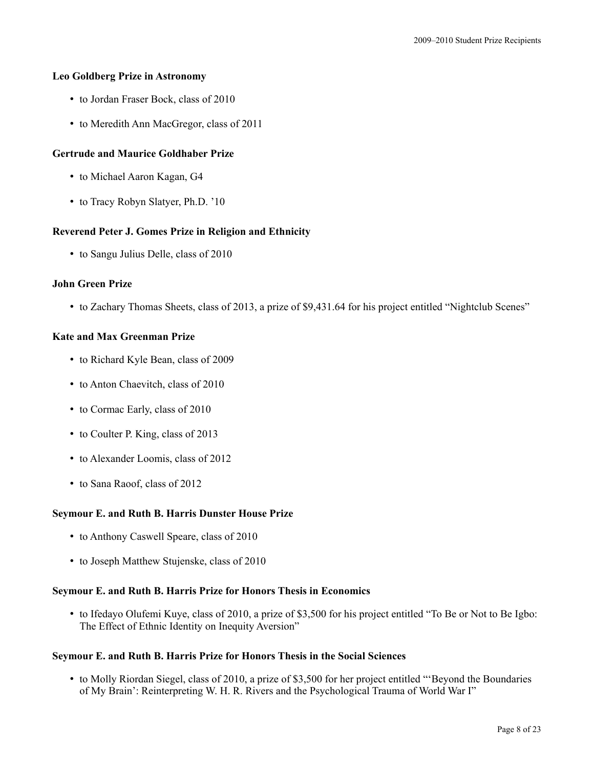## **Leo Goldberg Prize in Astronomy**

- to Jordan Fraser Bock, class of 2010
- to Meredith Ann MacGregor, class of 2011

## **Gertrude and Maurice Goldhaber Prize**

- to Michael Aaron Kagan, G4
- to Tracy Robyn Slatyer, Ph.D. '10

## **Reverend Peter J. Gomes Prize in Religion and Ethnicity**

• to Sangu Julius Delle, class of 2010

## **John Green Prize**

• to Zachary Thomas Sheets, class of 2013, a prize of \$9,431.64 for his project entitled "Nightclub Scenes"

## **Kate and Max Greenman Prize**

- to Richard Kyle Bean, class of 2009
- to Anton Chaevitch, class of 2010
- to Cormac Early, class of 2010
- to Coulter P. King, class of 2013
- to Alexander Loomis, class of 2012
- to Sana Raoof, class of 2012

#### **Seymour E. and Ruth B. Harris Dunster House Prize**

- to Anthony Caswell Speare, class of 2010
- to Joseph Matthew Stujenske, class of 2010

#### **Seymour E. and Ruth B. Harris Prize for Honors Thesis in Economics**

• to Ifedayo Olufemi Kuye, class of 2010, a prize of \$3,500 for his project entitled "To Be or Not to Be Igbo: The Effect of Ethnic Identity on Inequity Aversion"

#### **Seymour E. and Ruth B. Harris Prize for Honors Thesis in the Social Sciences**

• to Molly Riordan Siegel, class of 2010, a prize of \$3,500 for her project entitled "'Beyond the Boundaries of My Brain': Reinterpreting W. H. R. Rivers and the Psychological Trauma of World War I"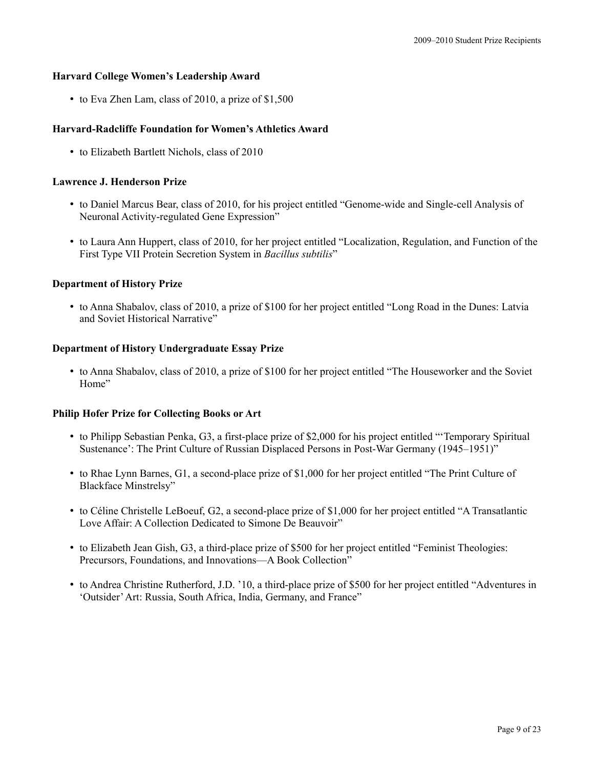# **Harvard College Women's Leadership Award**

• to Eva Zhen Lam, class of 2010, a prize of \$1,500

# **Harvard-Radcliffe Foundation for Women's Athletics Award**

• to Elizabeth Bartlett Nichols, class of 2010

## **Lawrence J. Henderson Prize**

- to Daniel Marcus Bear, class of 2010, for his project entitled "Genome-wide and Single-cell Analysis of Neuronal Activity-regulated Gene Expression"
- to Laura Ann Huppert, class of 2010, for her project entitled "Localization, Regulation, and Function of the First Type VII Protein Secretion System in *Bacillus subtilis*"

## **Department of History Prize**

• to Anna Shabalov, class of 2010, a prize of \$100 for her project entitled "Long Road in the Dunes: Latvia and Soviet Historical Narrative"

## **Department of History Undergraduate Essay Prize**

• to Anna Shabalov, class of 2010, a prize of \$100 for her project entitled "The Houseworker and the Soviet Home"

#### **Philip Hofer Prize for Collecting Books or Art**

- to Philipp Sebastian Penka, G3, a first-place prize of \$2,000 for his project entitled "'Temporary Spiritual Sustenance': The Print Culture of Russian Displaced Persons in Post-War Germany (1945–1951)"
- to Rhae Lynn Barnes, G1, a second-place prize of \$1,000 for her project entitled "The Print Culture of Blackface Minstrelsy"
- to Céline Christelle LeBoeuf, G2, a second-place prize of \$1,000 for her project entitled "A Transatlantic Love Affair: A Collection Dedicated to Simone De Beauvoir"
- to Elizabeth Jean Gish, G3, a third-place prize of \$500 for her project entitled "Feminist Theologies: Precursors, Foundations, and Innovations—A Book Collection"
- to Andrea Christine Rutherford, J.D. '10, a third-place prize of \$500 for her project entitled "Adventures in 'Outsider'Art: Russia, South Africa, India, Germany, and France"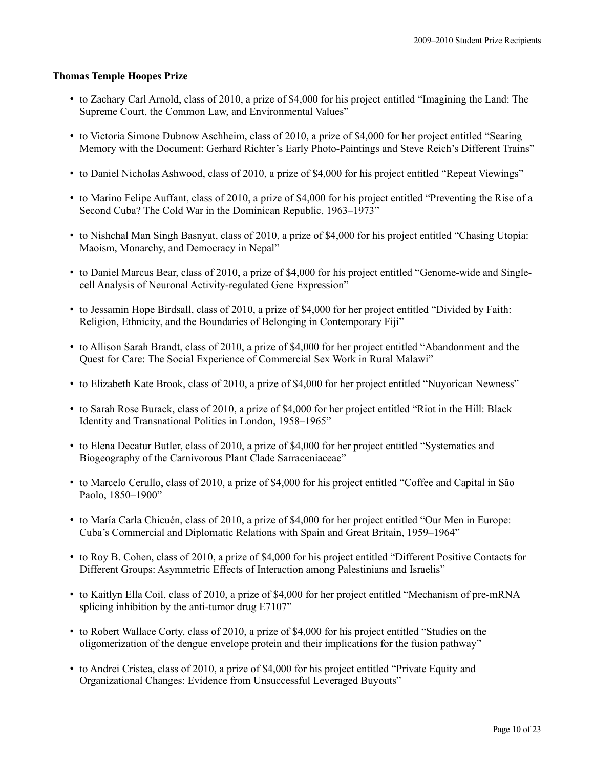#### **Thomas Temple Hoopes Prize**

- to Zachary Carl Arnold, class of 2010, a prize of \$4,000 for his project entitled "Imagining the Land: The Supreme Court, the Common Law, and Environmental Values"
- to Victoria Simone Dubnow Aschheim, class of 2010, a prize of \$4,000 for her project entitled "Searing Memory with the Document: Gerhard Richter's Early Photo-Paintings and Steve Reich's Different Trains"
- to Daniel Nicholas Ashwood, class of 2010, a prize of \$4,000 for his project entitled "Repeat Viewings"
- to Marino Felipe Auffant, class of 2010, a prize of \$4,000 for his project entitled "Preventing the Rise of a Second Cuba? The Cold War in the Dominican Republic, 1963–1973"
- to Nishchal Man Singh Basnyat, class of 2010, a prize of \$4,000 for his project entitled "Chasing Utopia: Maoism, Monarchy, and Democracy in Nepal"
- to Daniel Marcus Bear, class of 2010, a prize of \$4,000 for his project entitled "Genome-wide and Singlecell Analysis of Neuronal Activity-regulated Gene Expression"
- to Jessamin Hope Birdsall, class of 2010, a prize of \$4,000 for her project entitled "Divided by Faith: Religion, Ethnicity, and the Boundaries of Belonging in Contemporary Fiji"
- to Allison Sarah Brandt, class of 2010, a prize of \$4,000 for her project entitled "Abandonment and the Quest for Care: The Social Experience of Commercial Sex Work in Rural Malawi"
- to Elizabeth Kate Brook, class of 2010, a prize of \$4,000 for her project entitled "Nuyorican Newness"
- to Sarah Rose Burack, class of 2010, a prize of \$4,000 for her project entitled "Riot in the Hill: Black Identity and Transnational Politics in London, 1958–1965"
- to Elena Decatur Butler, class of 2010, a prize of \$4,000 for her project entitled "Systematics and Biogeography of the Carnivorous Plant Clade Sarraceniaceae"
- to Marcelo Cerullo, class of 2010, a prize of \$4,000 for his project entitled "Coffee and Capital in São Paolo, 1850–1900"
- to María Carla Chicuén, class of 2010, a prize of \$4,000 for her project entitled "Our Men in Europe: Cuba's Commercial and Diplomatic Relations with Spain and Great Britain, 1959–1964"
- to Roy B. Cohen, class of 2010, a prize of \$4,000 for his project entitled "Different Positive Contacts for Different Groups: Asymmetric Effects of Interaction among Palestinians and Israelis"
- to Kaitlyn Ella Coil, class of 2010, a prize of \$4,000 for her project entitled "Mechanism of pre-mRNA splicing inhibition by the anti-tumor drug E7107"
- to Robert Wallace Corty, class of 2010, a prize of \$4,000 for his project entitled "Studies on the oligomerization of the dengue envelope protein and their implications for the fusion pathway"
- to Andrei Cristea, class of 2010, a prize of \$4,000 for his project entitled "Private Equity and Organizational Changes: Evidence from Unsuccessful Leveraged Buyouts"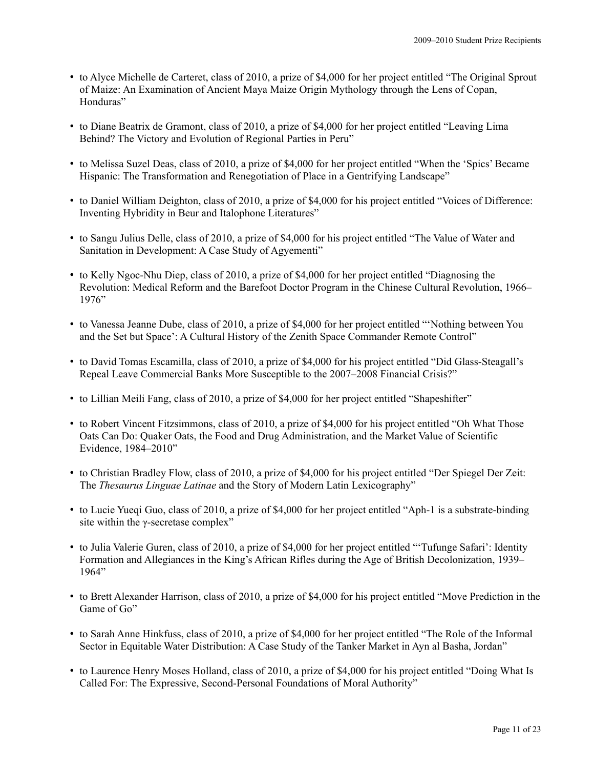- to Alyce Michelle de Carteret, class of 2010, a prize of \$4,000 for her project entitled "The Original Sprout of Maize: An Examination of Ancient Maya Maize Origin Mythology through the Lens of Copan, Honduras"
- to Diane Beatrix de Gramont, class of 2010, a prize of \$4,000 for her project entitled "Leaving Lima Behind? The Victory and Evolution of Regional Parties in Peru"
- to Melissa Suzel Deas, class of 2010, a prize of \$4,000 for her project entitled "When the 'Spics' Became Hispanic: The Transformation and Renegotiation of Place in a Gentrifying Landscape"
- to Daniel William Deighton, class of 2010, a prize of \$4,000 for his project entitled "Voices of Difference: Inventing Hybridity in Beur and Italophone Literatures"
- to Sangu Julius Delle, class of 2010, a prize of \$4,000 for his project entitled "The Value of Water and Sanitation in Development: A Case Study of Agyementi"
- to Kelly Ngoc-Nhu Diep, class of 2010, a prize of \$4,000 for her project entitled "Diagnosing the Revolution: Medical Reform and the Barefoot Doctor Program in the Chinese Cultural Revolution, 1966– 1976"
- to Vanessa Jeanne Dube, class of 2010, a prize of \$4,000 for her project entitled "'Nothing between You and the Set but Space': A Cultural History of the Zenith Space Commander Remote Control"
- to David Tomas Escamilla, class of 2010, a prize of \$4,000 for his project entitled "Did Glass-Steagall's Repeal Leave Commercial Banks More Susceptible to the 2007–2008 Financial Crisis?"
- to Lillian Meili Fang, class of 2010, a prize of \$4,000 for her project entitled "Shapeshifter"
- to Robert Vincent Fitzsimmons, class of 2010, a prize of \$4,000 for his project entitled "Oh What Those Oats Can Do: Quaker Oats, the Food and Drug Administration, and the Market Value of Scientific Evidence, 1984–2010"
- to Christian Bradley Flow, class of 2010, a prize of \$4,000 for his project entitled "Der Spiegel Der Zeit: The *Thesaurus Linguae Latinae* and the Story of Modern Latin Lexicography"
- to Lucie Yueqi Guo, class of 2010, a prize of \$4,000 for her project entitled "Aph-1 is a substrate-binding site within the γ-secretase complex"
- to Julia Valerie Guren, class of 2010, a prize of \$4,000 for her project entitled "'Tufunge Safari': Identity Formation and Allegiances in the King's African Rifles during the Age of British Decolonization, 1939– 1964"
- to Brett Alexander Harrison, class of 2010, a prize of \$4,000 for his project entitled "Move Prediction in the Game of Go"
- to Sarah Anne Hinkfuss, class of 2010, a prize of \$4,000 for her project entitled "The Role of the Informal Sector in Equitable Water Distribution: A Case Study of the Tanker Market in Ayn al Basha, Jordan"
- to Laurence Henry Moses Holland, class of 2010, a prize of \$4,000 for his project entitled "Doing What Is Called For: The Expressive, Second-Personal Foundations of Moral Authority"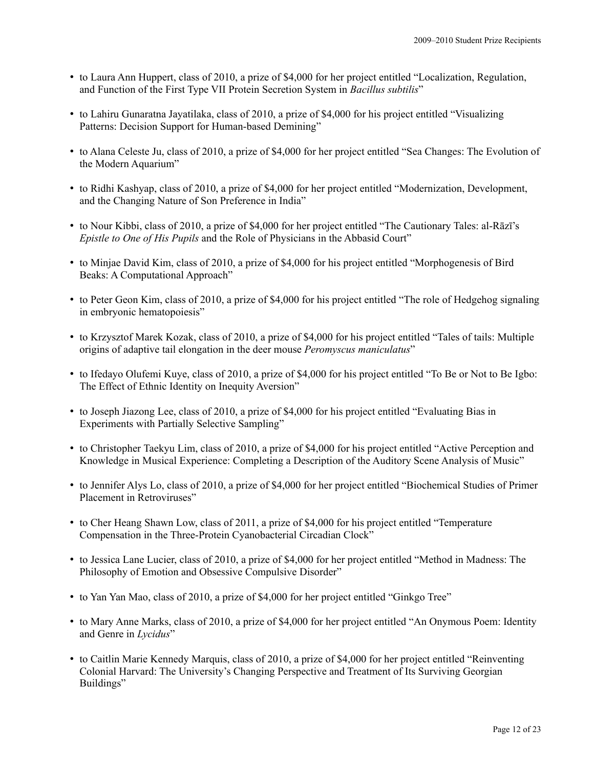- to Laura Ann Huppert, class of 2010, a prize of \$4,000 for her project entitled "Localization, Regulation, and Function of the First Type VII Protein Secretion System in *Bacillus subtilis*"
- to Lahiru Gunaratna Jayatilaka, class of 2010, a prize of \$4,000 for his project entitled "Visualizing Patterns: Decision Support for Human-based Demining"
- to Alana Celeste Ju, class of 2010, a prize of \$4,000 for her project entitled "Sea Changes: The Evolution of the Modern Aquarium"
- to Ridhi Kashyap, class of 2010, a prize of \$4,000 for her project entitled "Modernization, Development, and the Changing Nature of Son Preference in India"
- to Nour Kibbi, class of 2010, a prize of \$4,000 for her project entitled "The Cautionary Tales: al-Rāzī's *Epistle to One of His Pupils* and the Role of Physicians in the Abbasid Court"
- to Minjae David Kim, class of 2010, a prize of \$4,000 for his project entitled "Morphogenesis of Bird Beaks: A Computational Approach"
- to Peter Geon Kim, class of 2010, a prize of \$4,000 for his project entitled "The role of Hedgehog signaling in embryonic hematopoiesis"
- to Krzysztof Marek Kozak, class of 2010, a prize of \$4,000 for his project entitled "Tales of tails: Multiple origins of adaptive tail elongation in the deer mouse *Peromyscus maniculatus*"
- to Ifedayo Olufemi Kuye, class of 2010, a prize of \$4,000 for his project entitled "To Be or Not to Be Igbo: The Effect of Ethnic Identity on Inequity Aversion"
- to Joseph Jiazong Lee, class of 2010, a prize of \$4,000 for his project entitled "Evaluating Bias in Experiments with Partially Selective Sampling"
- to Christopher Taekyu Lim, class of 2010, a prize of \$4,000 for his project entitled "Active Perception and Knowledge in Musical Experience: Completing a Description of the Auditory Scene Analysis of Music"
- to Jennifer Alys Lo, class of 2010, a prize of \$4,000 for her project entitled "Biochemical Studies of Primer Placement in Retroviruses"
- to Cher Heang Shawn Low, class of 2011, a prize of \$4,000 for his project entitled "Temperature Compensation in the Three-Protein Cyanobacterial Circadian Clock"
- to Jessica Lane Lucier, class of 2010, a prize of \$4,000 for her project entitled "Method in Madness: The Philosophy of Emotion and Obsessive Compulsive Disorder"
- to Yan Yan Mao, class of 2010, a prize of \$4,000 for her project entitled "Ginkgo Tree"
- to Mary Anne Marks, class of 2010, a prize of \$4,000 for her project entitled "An Onymous Poem: Identity and Genre in *Lycidus*"
- to Caitlin Marie Kennedy Marquis, class of 2010, a prize of \$4,000 for her project entitled "Reinventing Colonial Harvard: The University's Changing Perspective and Treatment of Its Surviving Georgian Buildings"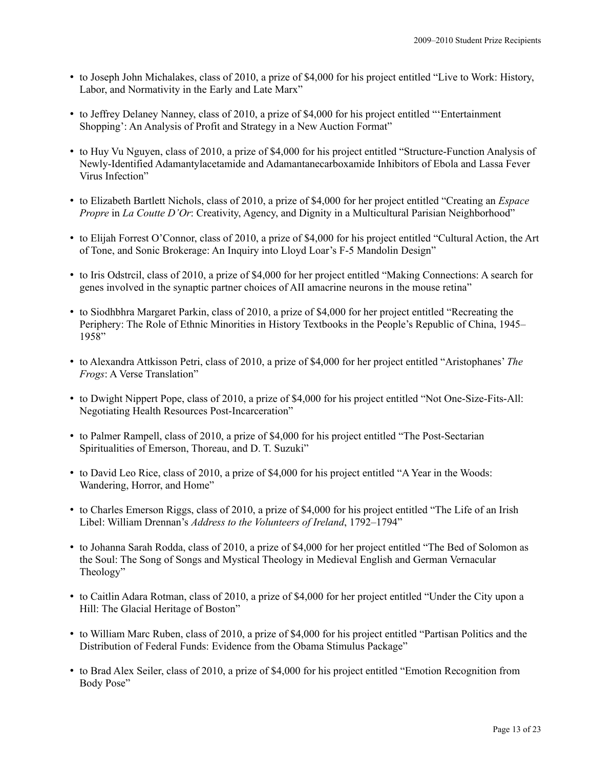- to Joseph John Michalakes, class of 2010, a prize of \$4,000 for his project entitled "Live to Work: History, Labor, and Normativity in the Early and Late Marx"
- to Jeffrey Delaney Nanney, class of 2010, a prize of \$4,000 for his project entitled "'Entertainment Shopping': An Analysis of Profit and Strategy in a New Auction Format"
- to Huy Vu Nguyen, class of 2010, a prize of \$4,000 for his project entitled "Structure-Function Analysis of Newly-Identified Adamantylacetamide and Adamantanecarboxamide Inhibitors of Ebola and Lassa Fever Virus Infection"
- to Elizabeth Bartlett Nichols, class of 2010, a prize of \$4,000 for her project entitled "Creating an *Espace Propre* in *La Coutte D'Or*: Creativity, Agency, and Dignity in a Multicultural Parisian Neighborhood"
- to Elijah Forrest O'Connor, class of 2010, a prize of \$4,000 for his project entitled "Cultural Action, the Art of Tone, and Sonic Brokerage: An Inquiry into Lloyd Loar's F-5 Mandolin Design"
- to Iris Odstrcil, class of 2010, a prize of \$4,000 for her project entitled "Making Connections: A search for genes involved in the synaptic partner choices of AII amacrine neurons in the mouse retina"
- to Siodhbhra Margaret Parkin, class of 2010, a prize of \$4,000 for her project entitled "Recreating the Periphery: The Role of Ethnic Minorities in History Textbooks in the People's Republic of China, 1945–  $1958"$
- to Alexandra Attkisson Petri, class of 2010, a prize of \$4,000 for her project entitled "Aristophanes' *The Frogs*: A Verse Translation"
- to Dwight Nippert Pope, class of 2010, a prize of \$4,000 for his project entitled "Not One-Size-Fits-All: Negotiating Health Resources Post-Incarceration"
- to Palmer Rampell, class of 2010, a prize of \$4,000 for his project entitled "The Post-Sectarian Spiritualities of Emerson, Thoreau, and D. T. Suzuki"
- to David Leo Rice, class of 2010, a prize of \$4,000 for his project entitled "A Year in the Woods: Wandering, Horror, and Home"
- to Charles Emerson Riggs, class of 2010, a prize of \$4,000 for his project entitled "The Life of an Irish Libel: William Drennan's *Address to the Volunteers of Ireland*, 1792–1794"
- to Johanna Sarah Rodda, class of 2010, a prize of \$4,000 for her project entitled "The Bed of Solomon as the Soul: The Song of Songs and Mystical Theology in Medieval English and German Vernacular Theology"
- to Caitlin Adara Rotman, class of 2010, a prize of \$4,000 for her project entitled "Under the City upon a Hill: The Glacial Heritage of Boston"
- to William Marc Ruben, class of 2010, a prize of \$4,000 for his project entitled "Partisan Politics and the Distribution of Federal Funds: Evidence from the Obama Stimulus Package"
- to Brad Alex Seiler, class of 2010, a prize of \$4,000 for his project entitled "Emotion Recognition from Body Pose"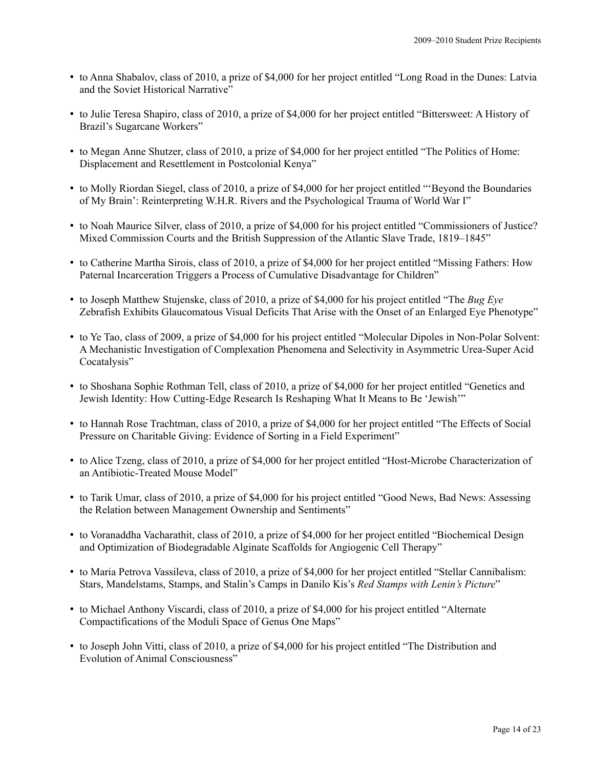- to Anna Shabalov, class of 2010, a prize of \$4,000 for her project entitled "Long Road in the Dunes: Latvia and the Soviet Historical Narrative"
- to Julie Teresa Shapiro, class of 2010, a prize of \$4,000 for her project entitled "Bittersweet: A History of Brazil's Sugarcane Workers"
- to Megan Anne Shutzer, class of 2010, a prize of \$4,000 for her project entitled "The Politics of Home: Displacement and Resettlement in Postcolonial Kenya"
- to Molly Riordan Siegel, class of 2010, a prize of \$4,000 for her project entitled "'Beyond the Boundaries of My Brain': Reinterpreting W.H.R. Rivers and the Psychological Trauma of World War I"
- to Noah Maurice Silver, class of 2010, a prize of \$4,000 for his project entitled "Commissioners of Justice? Mixed Commission Courts and the British Suppression of the Atlantic Slave Trade, 1819–1845"
- to Catherine Martha Sirois, class of 2010, a prize of \$4,000 for her project entitled "Missing Fathers: How Paternal Incarceration Triggers a Process of Cumulative Disadvantage for Children"
- to Joseph Matthew Stujenske, class of 2010, a prize of \$4,000 for his project entitled "The *Bug Eye* Zebrafish Exhibits Glaucomatous Visual Deficits That Arise with the Onset of an Enlarged Eye Phenotype"
- to Ye Tao, class of 2009, a prize of \$4,000 for his project entitled "Molecular Dipoles in Non-Polar Solvent: A Mechanistic Investigation of Complexation Phenomena and Selectivity in Asymmetric Urea-Super Acid Cocatalysis"
- to Shoshana Sophie Rothman Tell, class of 2010, a prize of \$4,000 for her project entitled "Genetics and Jewish Identity: How Cutting-Edge Research Is Reshaping What It Means to Be 'Jewish'"
- to Hannah Rose Trachtman, class of 2010, a prize of \$4,000 for her project entitled "The Effects of Social Pressure on Charitable Giving: Evidence of Sorting in a Field Experiment"
- to Alice Tzeng, class of 2010, a prize of \$4,000 for her project entitled "Host-Microbe Characterization of an Antibiotic-Treated Mouse Model"
- to Tarik Umar, class of 2010, a prize of \$4,000 for his project entitled "Good News, Bad News: Assessing the Relation between Management Ownership and Sentiments"
- to Voranaddha Vacharathit, class of 2010, a prize of \$4,000 for her project entitled "Biochemical Design and Optimization of Biodegradable Alginate Scaffolds for Angiogenic Cell Therapy"
- to Maria Petrova Vassileva, class of 2010, a prize of \$4,000 for her project entitled "Stellar Cannibalism: Stars, Mandelstams, Stamps, and Stalin's Camps in Danilo Kis's *Red Stamps with Lenin's Picture*"
- to Michael Anthony Viscardi, class of 2010, a prize of \$4,000 for his project entitled "Alternate Compactifications of the Moduli Space of Genus One Maps"
- to Joseph John Vitti, class of 2010, a prize of \$4,000 for his project entitled "The Distribution and Evolution of Animal Consciousness"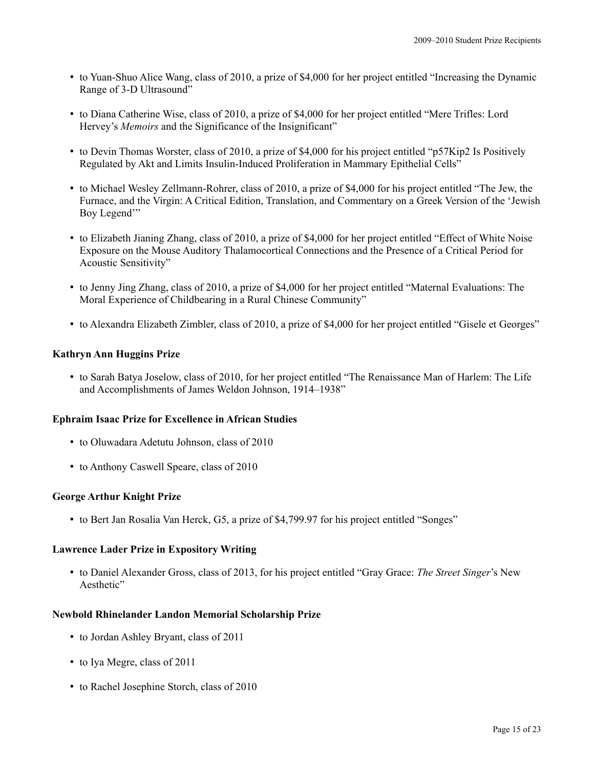- to Yuan-Shuo Alice Wang, class of 2010, a prize of \$4,000 for her project entitled "Increasing the Dynamic Range of 3-D Ultrasound"
- to Diana Catherine Wise, class of 2010, a prize of \$4,000 for her project entitled "Mere Trifles: Lord Hervey's *Memoirs* and the Significance of the Insignificant"
- to Devin Thomas Worster, class of 2010, a prize of \$4,000 for his project entitled "p57Kip2 Is Positively Regulated by Akt and Limits Insulin-Induced Proliferation in Mammary Epithelial Cells"
- to Michael Wesley Zellmann-Rohrer, class of 2010, a prize of \$4,000 for his project entitled "The Jew, the Furnace, and the Virgin: A Critical Edition, Translation, and Commentary on a Greek Version of the 'Jewish Boy Legend"
- to Elizabeth Jianing Zhang, class of 2010, a prize of \$4,000 for her project entitled "Effect of White Noise Exposure on the Mouse Auditory Thalamocortical Connections and the Presence of a Critical Period for Acoustic Sensitivity"
- to Jenny Jing Zhang, class of 2010, a prize of \$4,000 for her project entitled "Maternal Evaluations: The Moral Experience of Childbearing in a Rural Chinese Community"
- to Alexandra Elizabeth Zimbler, class of 2010, a prize of \$4,000 for her project entitled "Gisele et Georges"

## **Kathryn Ann Huggins Prize**

• to Sarah Batya Joselow, class of 2010, for her project entitled "The Renaissance Man of Harlem: The Life and Accomplishments of James Weldon Johnson, 1914–1938"

#### **Ephraim Isaac Prize for Excellence in African Studies**

- to Oluwadara Adetutu Johnson, class of 2010
- to Anthony Caswell Speare, class of 2010

# **George Arthur Knight Prize**

• to Bert Jan Rosalia Van Herck, G5, a prize of \$4,799.97 for his project entitled "Songes"

#### **Lawrence Lader Prize in Expository Writing**

• to Daniel Alexander Gross, class of 2013, for his project entitled "Gray Grace: *The Street Singer*'s New Aesthetic"

#### **Newbold Rhinelander Landon Memorial Scholarship Prize**

- to Jordan Ashley Bryant, class of 2011
- to Iya Megre, class of 2011
- to Rachel Josephine Storch, class of 2010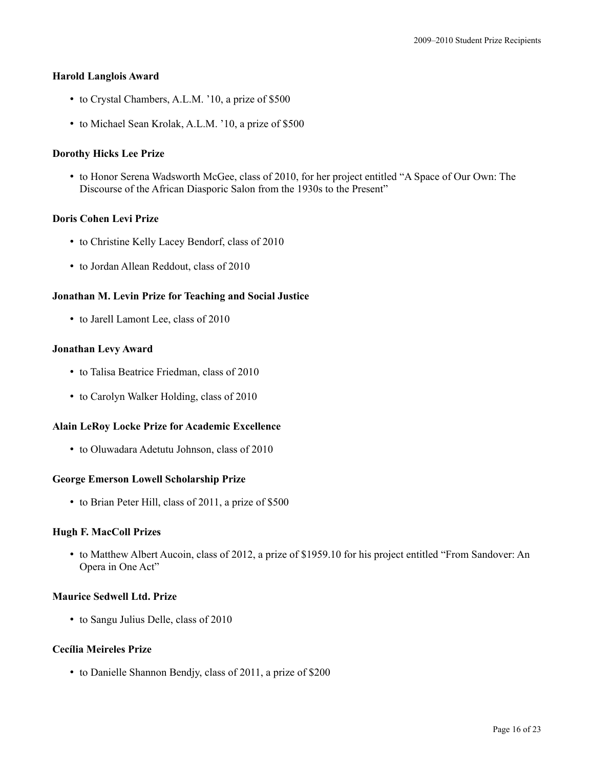## **Harold Langlois Award**

- to Crystal Chambers, A.L.M. '10, a prize of \$500
- to Michael Sean Krolak, A.L.M. '10, a prize of \$500

# **Dorothy Hicks Lee Prize**

• to Honor Serena Wadsworth McGee, class of 2010, for her project entitled "A Space of Our Own: The Discourse of the African Diasporic Salon from the 1930s to the Present"

## **Doris Cohen Levi Prize**

- to Christine Kelly Lacey Bendorf, class of 2010
- to Jordan Allean Reddout, class of 2010

## **Jonathan M. Levin Prize for Teaching and Social Justice**

• to Jarell Lamont Lee, class of 2010

## **Jonathan Levy Award**

- to Talisa Beatrice Friedman, class of 2010
- to Carolyn Walker Holding, class of 2010

#### **Alain LeRoy Locke Prize for Academic Excellence**

• to Oluwadara Adetutu Johnson, class of 2010

#### **George Emerson Lowell Scholarship Prize**

• to Brian Peter Hill, class of 2011, a prize of \$500

# **Hugh F. MacColl Prizes**

• to Matthew Albert Aucoin, class of 2012, a prize of \$1959.10 for his project entitled "From Sandover: An Opera in One Act"

## **Maurice Sedwell Ltd. Prize**

• to Sangu Julius Delle, class of 2010

# **Cecília Meireles Prize**

• to Danielle Shannon Bendjy, class of 2011, a prize of \$200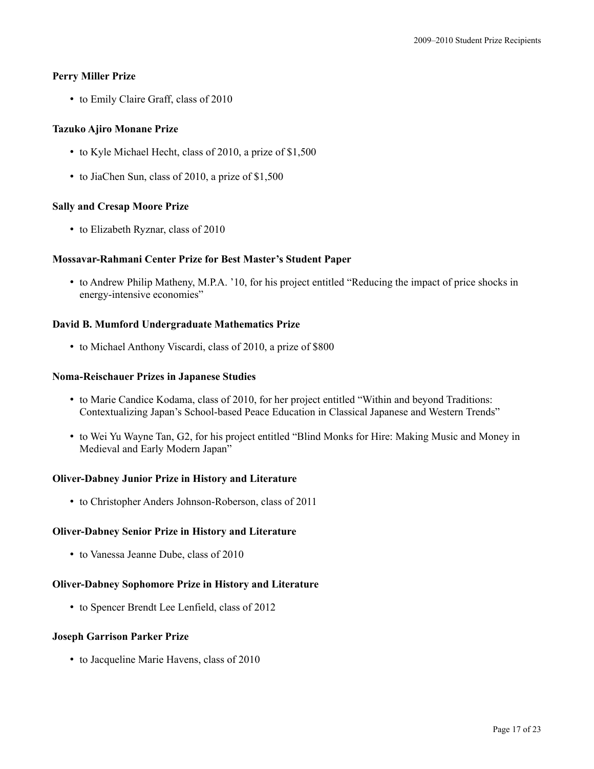# **Perry Miller Prize**

• to Emily Claire Graff, class of 2010

# **Tazuko Ajiro Monane Prize**

- to Kyle Michael Hecht, class of 2010, a prize of \$1,500
- to JiaChen Sun, class of 2010, a prize of \$1,500

# **Sally and Cresap Moore Prize**

• to Elizabeth Ryznar, class of 2010

# **Mossavar-Rahmani Center Prize for Best Master's Student Paper**

• to Andrew Philip Matheny, M.P.A. '10, for his project entitled "Reducing the impact of price shocks in energy-intensive economies"

## **David B. Mumford Undergraduate Mathematics Prize**

• to Michael Anthony Viscardi, class of 2010, a prize of \$800

# **Noma-Reischauer Prizes in Japanese Studies**

- to Marie Candice Kodama, class of 2010, for her project entitled "Within and beyond Traditions: Contextualizing Japan's School-based Peace Education in Classical Japanese and Western Trends"
- to Wei Yu Wayne Tan, G2, for his project entitled "Blind Monks for Hire: Making Music and Money in Medieval and Early Modern Japan"

# **Oliver-Dabney Junior Prize in History and Literature**

• to Christopher Anders Johnson-Roberson, class of 2011

# **Oliver-Dabney Senior Prize in History and Literature**

• to Vanessa Jeanne Dube, class of 2010

# **Oliver-Dabney Sophomore Prize in History and Literature**

• to Spencer Brendt Lee Lenfield, class of 2012

#### **Joseph Garrison Parker Prize**

• to Jacqueline Marie Havens, class of 2010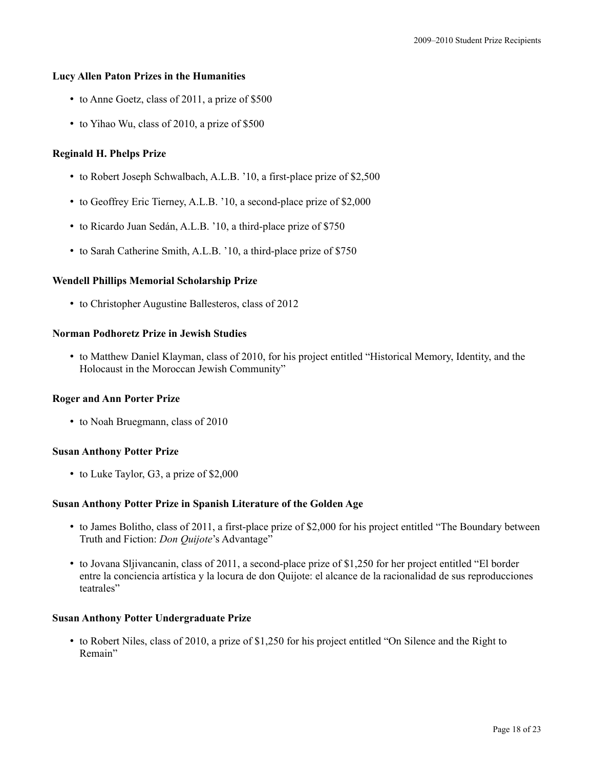## **Lucy Allen Paton Prizes in the Humanities**

- to Anne Goetz, class of 2011, a prize of \$500
- to Yihao Wu, class of 2010, a prize of \$500

## **Reginald H. Phelps Prize**

- to Robert Joseph Schwalbach, A.L.B. '10, a first-place prize of \$2,500
- to Geoffrey Eric Tierney, A.L.B. '10, a second-place prize of \$2,000
- to Ricardo Juan Sedán, A.L.B. '10, a third-place prize of \$750
- to Sarah Catherine Smith, A.L.B. '10, a third-place prize of \$750

## **Wendell Phillips Memorial Scholarship Prize**

• to Christopher Augustine Ballesteros, class of 2012

## **Norman Podhoretz Prize in Jewish Studies**

• to Matthew Daniel Klayman, class of 2010, for his project entitled "Historical Memory, Identity, and the Holocaust in the Moroccan Jewish Community"

#### **Roger and Ann Porter Prize**

• to Noah Bruegmann, class of 2010

#### **Susan Anthony Potter Prize**

• to Luke Taylor, G3, a prize of \$2,000

#### **Susan Anthony Potter Prize in Spanish Literature of the Golden Age**

- to James Bolitho, class of 2011, a first-place prize of \$2,000 for his project entitled "The Boundary between Truth and Fiction: *Don Quijote*'s Advantage"
- to Jovana Sljivancanin, class of 2011, a second-place prize of \$1,250 for her project entitled "El border entre la conciencia artística y la locura de don Quijote: el alcance de la racionalidad de sus reproducciones teatrales"

#### **Susan Anthony Potter Undergraduate Prize**

• to Robert Niles, class of 2010, a prize of \$1,250 for his project entitled "On Silence and the Right to Remain"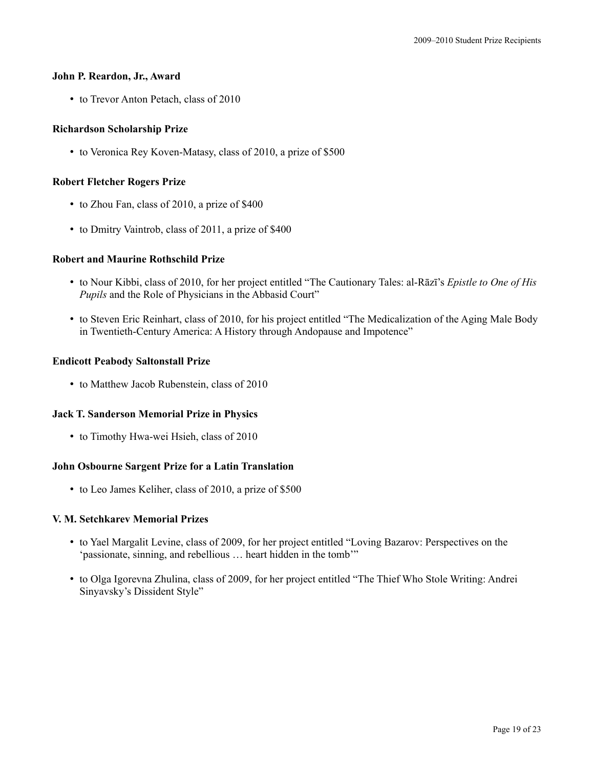#### **John P. Reardon, Jr., Award**

• to Trevor Anton Petach, class of 2010

# **Richardson Scholarship Prize**

• to Veronica Rey Koven-Matasy, class of 2010, a prize of \$500

# **Robert Fletcher Rogers Prize**

- to Zhou Fan, class of 2010, a prize of \$400
- to Dmitry Vaintrob, class of 2011, a prize of \$400

# **Robert and Maurine Rothschild Prize**

- to Nour Kibbi, class of 2010, for her project entitled "The Cautionary Tales: al-Rāzī's *Epistle to One of His Pupils* and the Role of Physicians in the Abbasid Court"
- to Steven Eric Reinhart, class of 2010, for his project entitled "The Medicalization of the Aging Male Body in Twentieth-Century America: A History through Andopause and Impotence"

# **Endicott Peabody Saltonstall Prize**

• to Matthew Jacob Rubenstein, class of 2010

# **Jack T. Sanderson Memorial Prize in Physics**

• to Timothy Hwa-wei Hsieh, class of 2010

# **John Osbourne Sargent Prize for a Latin Translation**

• to Leo James Keliher, class of 2010, a prize of \$500

#### **V. M. Setchkarev Memorial Prizes**

- to Yael Margalit Levine, class of 2009, for her project entitled "Loving Bazarov: Perspectives on the 'passionate, sinning, and rebellious … heart hidden in the tomb'"
- to Olga Igorevna Zhulina, class of 2009, for her project entitled "The Thief Who Stole Writing: Andrei Sinyavsky's Dissident Style"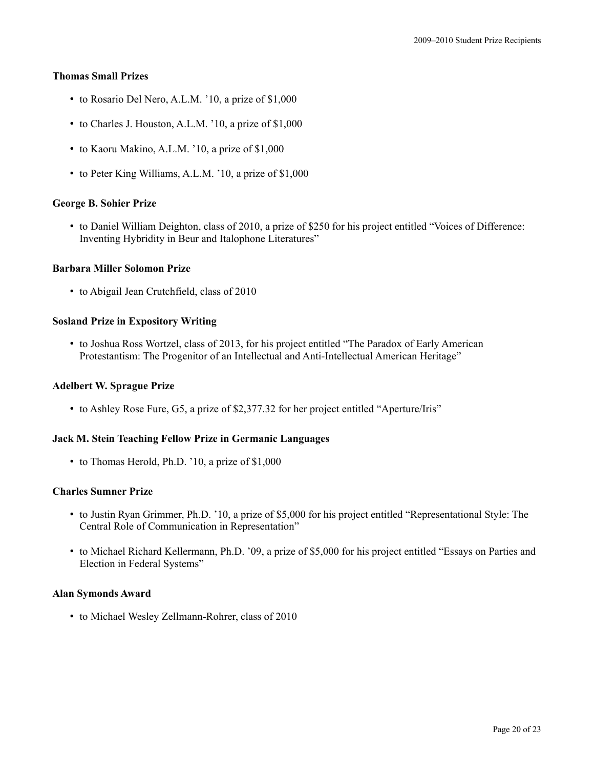## **Thomas Small Prizes**

- to Rosario Del Nero, A.L.M. '10, a prize of \$1,000
- to Charles J. Houston, A.L.M. '10, a prize of \$1,000
- to Kaoru Makino, A.L.M. '10, a prize of \$1,000
- to Peter King Williams, A.L.M. '10, a prize of \$1,000

# **George B. Sohier Prize**

• to Daniel William Deighton, class of 2010, a prize of \$250 for his project entitled "Voices of Difference: Inventing Hybridity in Beur and Italophone Literatures"

## **Barbara Miller Solomon Prize**

• to Abigail Jean Crutchfield, class of 2010

## **Sosland Prize in Expository Writing**

• to Joshua Ross Wortzel, class of 2013, for his project entitled "The Paradox of Early American Protestantism: The Progenitor of an Intellectual and Anti-Intellectual American Heritage"

## **Adelbert W. Sprague Prize**

• to Ashley Rose Fure, G5, a prize of \$2,377.32 for her project entitled "Aperture/Iris"

# **Jack M. Stein Teaching Fellow Prize in Germanic Languages**

• to Thomas Herold, Ph.D. '10, a prize of \$1,000

#### **Charles Sumner Prize**

- to Justin Ryan Grimmer, Ph.D. '10, a prize of \$5,000 for his project entitled "Representational Style: The Central Role of Communication in Representation"
- to Michael Richard Kellermann, Ph.D. '09, a prize of \$5,000 for his project entitled "Essays on Parties and Election in Federal Systems"

# **Alan Symonds Award**

• to Michael Wesley Zellmann-Rohrer, class of 2010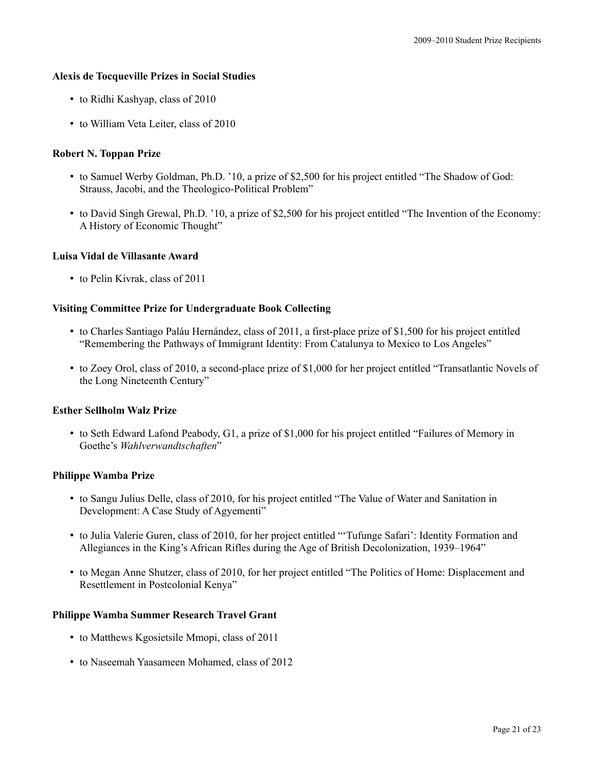## **Alexis de Tocqueville Prizes in Social Studies**

- to Ridhi Kashyap, class of 2010
- to William Veta Leiter, class of 2010

# **Robert N. Toppan Prize**

- to Samuel Werby Goldman, Ph.D. '10, a prize of \$2,500 for his project entitled "The Shadow of God: Strauss, Jacobi, and the Theologico-Political Problem"
- to David Singh Grewal, Ph.D. '10, a prize of \$2,500 for his project entitled "The Invention of the Economy: A History of Economic Thought"

## **Luisa Vidal de Villasante Award**

• to Pelin Kivrak, class of 2011

# **Visiting Committee Prize for Undergraduate Book Collecting**

- to Charles Santiago Paláu Hernández, class of 2011, a first-place prize of \$1,500 for his project entitled "Remembering the Pathways of Immigrant Identity: From Catalunya to Mexico to Los Angeles"
- to Zoey Orol, class of 2010, a second-place prize of \$1,000 for her project entitled "Transatlantic Novels of the Long Nineteenth Century"

# **Esther Sellholm Walz Prize**

• to Seth Edward Lafond Peabody, G1, a prize of \$1,000 for his project entitled "Failures of Memory in Goethe's *Wahlverwandtschaften*"

#### **Philippe Wamba Prize**

- to Sangu Julius Delle, class of 2010, for his project entitled "The Value of Water and Sanitation in Development: A Case Study of Agyementi"
- to Julia Valerie Guren, class of 2010, for her project entitled "'Tufunge Safari': Identity Formation and Allegiances in the King's African Rifles during the Age of British Decolonization, 1939–1964"
- to Megan Anne Shutzer, class of 2010, for her project entitled "The Politics of Home: Displacement and Resettlement in Postcolonial Kenya"

#### **Philippe Wamba Summer Research Travel Grant**

- to Matthews Kgosietsile Mmopi, class of 2011
- to Naseemah Yaasameen Mohamed, class of 2012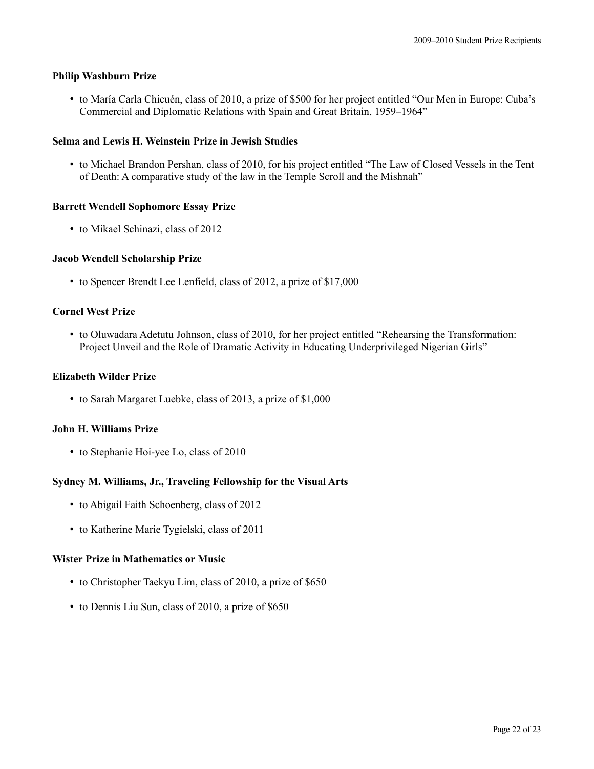## **Philip Washburn Prize**

• to María Carla Chicuén, class of 2010, a prize of \$500 for her project entitled "Our Men in Europe: Cuba's Commercial and Diplomatic Relations with Spain and Great Britain, 1959–1964"

# **Selma and Lewis H. Weinstein Prize in Jewish Studies**

• to Michael Brandon Pershan, class of 2010, for his project entitled "The Law of Closed Vessels in the Tent of Death: A comparative study of the law in the Temple Scroll and the Mishnah"

## **Barrett Wendell Sophomore Essay Prize**

• to Mikael Schinazi, class of 2012

## **Jacob Wendell Scholarship Prize**

• to Spencer Brendt Lee Lenfield, class of 2012, a prize of \$17,000

# **Cornel West Prize**

• to Oluwadara Adetutu Johnson, class of 2010, for her project entitled "Rehearsing the Transformation: Project Unveil and the Role of Dramatic Activity in Educating Underprivileged Nigerian Girls"

#### **Elizabeth Wilder Prize**

• to Sarah Margaret Luebke, class of 2013, a prize of \$1,000

#### **John H. Williams Prize**

• to Stephanie Hoi-yee Lo, class of 2010

#### **Sydney M. Williams, Jr., Traveling Fellowship for the Visual Arts**

- to Abigail Faith Schoenberg, class of 2012
- to Katherine Marie Tygielski, class of 2011

#### **Wister Prize in Mathematics or Music**

- to Christopher Taekyu Lim, class of 2010, a prize of \$650
- to Dennis Liu Sun, class of 2010, a prize of \$650